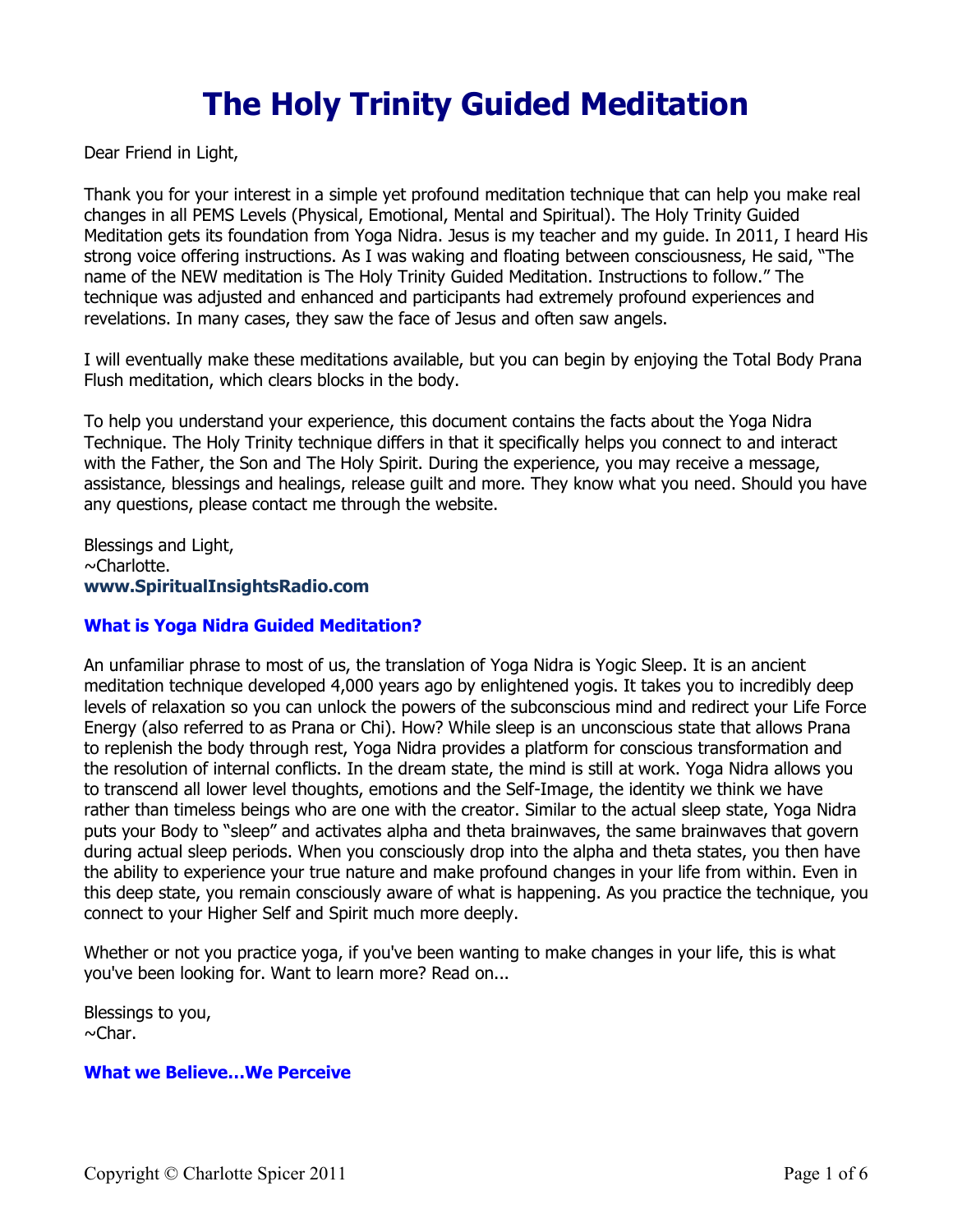# **The Holy Trinity Guided Meditation**

Dear Friend in Light,

Thank you for your interest in a simple yet profound meditation technique that can help you make real changes in all PEMS Levels (Physical, Emotional, Mental and Spiritual). The Holy Trinity Guided Meditation gets its foundation from Yoga Nidra. Jesus is my teacher and my guide. In 2011, I heard His strong voice offering instructions. As I was waking and floating between consciousness, He said, "The name of the NEW meditation is The Holy Trinity Guided Meditation. Instructions to follow." The technique was adjusted and enhanced and participants had extremely profound experiences and revelations. In many cases, they saw the face of Jesus and often saw angels.

I will eventually make these meditations available, but you can begin by enjoying the Total Body Prana Flush meditation, which clears blocks in the body.

To help you understand your experience, this document contains the facts about the Yoga Nidra Technique. The Holy Trinity technique differs in that it specifically helps you connect to and interact with the Father, the Son and The Holy Spirit. During the experience, you may receive a message, assistance, blessings and healings, release guilt and more. They know what you need. Should you have any questions, please contact me through the website.

Blessings and Light, ~Charlotte. **[www.SpiritualInsightsRadio.com](http://www.spiritualinsightsradio.com/)**

## **What is Yoga Nidra Guided Meditation?**

An unfamiliar phrase to most of us, the translation of Yoga Nidra is Yogic Sleep. It is an ancient meditation technique developed 4,000 years ago by enlightened yogis. It takes you to incredibly deep levels of relaxation so you can unlock the powers of the subconscious mind and redirect your Life Force Energy (also referred to as Prana or Chi). How? While sleep is an unconscious state that allows Prana to replenish the body through rest, Yoga Nidra provides a platform for conscious transformation and the resolution of internal conflicts. In the dream state, the mind is still at work. Yoga Nidra allows you to transcend all lower level thoughts, emotions and the Self-Image, the identity we think we have rather than timeless beings who are one with the creator. Similar to the actual sleep state, Yoga Nidra puts your Body to "sleep" and activates alpha and theta brainwaves, the same brainwaves that govern during actual sleep periods. When you consciously drop into the alpha and theta states, you then have the ability to experience your true nature and make profound changes in your life from within. Even in this deep state, you remain consciously aware of what is happening. As you practice the technique, you connect to your Higher Self and Spirit much more deeply.

Whether or not you practice yoga, if you've been wanting to make changes in your life, this is what you've been looking for. Want to learn more? Read on...

Blessings to you,  $\sim$ Char.

## **What we Believe…We Perceive**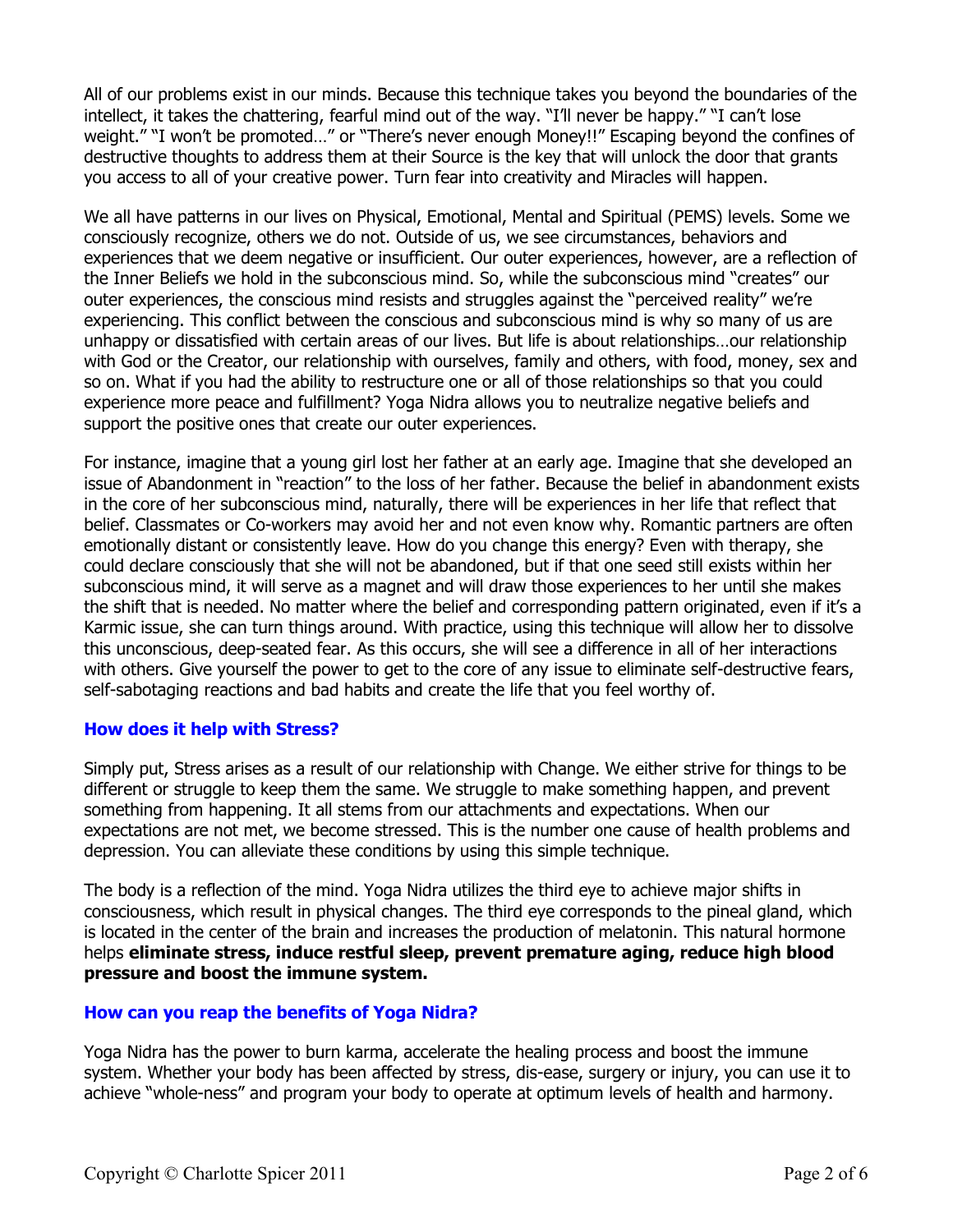All of our problems exist in our minds. Because this technique takes you beyond the boundaries of the intellect, it takes the chattering, fearful mind out of the way. "I'll never be happy." "I can't lose weight." "I won't be promoted…" or "There's never enough Money!!" Escaping beyond the confines of destructive thoughts to address them at their Source is the key that will unlock the door that grants you access to all of your creative power. Turn fear into creativity and Miracles will happen.

We all have patterns in our lives on Physical, Emotional, Mental and Spiritual (PEMS) levels. Some we consciously recognize, others we do not. Outside of us, we see circumstances, behaviors and experiences that we deem negative or insufficient. Our outer experiences, however, are a reflection of the Inner Beliefs we hold in the subconscious mind. So, while the subconscious mind "creates" our outer experiences, the conscious mind resists and struggles against the "perceived reality" we're experiencing. This conflict between the conscious and subconscious mind is why so many of us are unhappy or dissatisfied with certain areas of our lives. But life is about relationships…our relationship with God or the Creator, our relationship with ourselves, family and others, with food, money, sex and so on. What if you had the ability to restructure one or all of those relationships so that you could experience more peace and fulfillment? Yoga Nidra allows you to neutralize negative beliefs and support the positive ones that create our outer experiences.

For instance, imagine that a young girl lost her father at an early age. Imagine that she developed an issue of Abandonment in "reaction" to the loss of her father. Because the belief in abandonment exists in the core of her subconscious mind, naturally, there will be experiences in her life that reflect that belief. Classmates or Co-workers may avoid her and not even know why. Romantic partners are often emotionally distant or consistently leave. How do you change this energy? Even with therapy, she could declare consciously that she will not be abandoned, but if that one seed still exists within her subconscious mind, it will serve as a magnet and will draw those experiences to her until she makes the shift that is needed. No matter where the belief and corresponding pattern originated, even if it's a Karmic issue, she can turn things around. With practice, using this technique will allow her to dissolve this unconscious, deep-seated fear. As this occurs, she will see a difference in all of her interactions with others. Give yourself the power to get to the core of any issue to eliminate self-destructive fears, self-sabotaging reactions and bad habits and create the life that you feel worthy of.

## **How does it help with Stress?**

Simply put, Stress arises as a result of our relationship with Change. We either strive for things to be different or struggle to keep them the same. We struggle to make something happen, and prevent something from happening. It all stems from our attachments and expectations. When our expectations are not met, we become stressed. This is the number one cause of health problems and depression. You can alleviate these conditions by using this simple technique.

The body is a reflection of the mind. Yoga Nidra utilizes the third eye to achieve major shifts in consciousness, which result in physical changes. The third eye corresponds to the pineal gland, which is located in the center of the brain and increases the production of melatonin. This natural hormone helps **eliminate stress, induce restful sleep, prevent premature aging, reduce high blood pressure and boost the immune system.** 

#### **How can you reap the benefits of Yoga Nidra?**

Yoga Nidra has the power to burn karma, accelerate the healing process and boost the immune system. Whether your body has been affected by stress, dis-ease, surgery or injury, you can use it to achieve "whole-ness" and program your body to operate at optimum levels of health and harmony.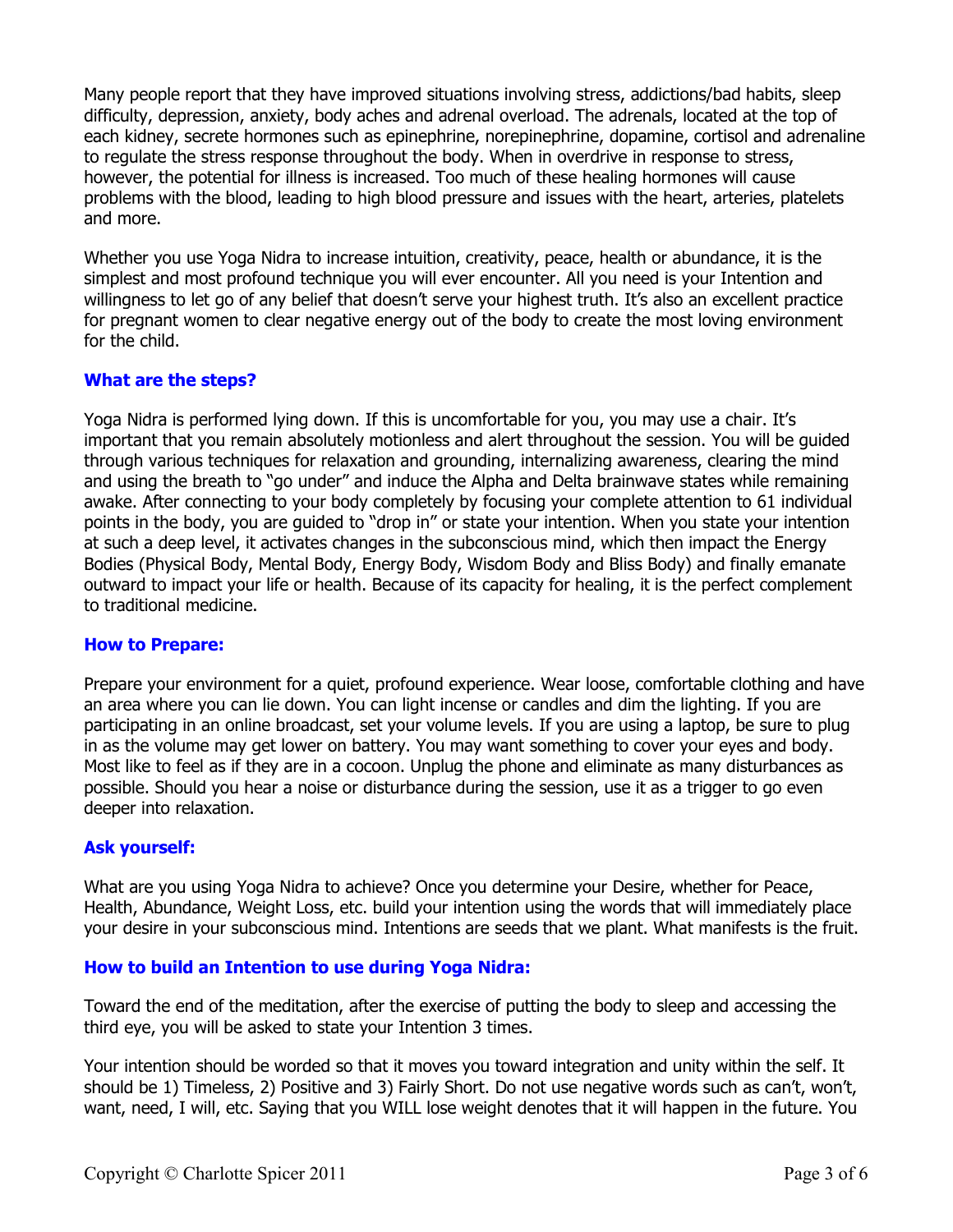Many people report that they have improved situations involving stress, addictions/bad habits, sleep difficulty, depression, anxiety, body aches and adrenal overload. The adrenals, located at the top of each kidney, secrete hormones such as epinephrine, norepinephrine, dopamine, cortisol and adrenaline to regulate the stress response throughout the body. When in overdrive in response to stress, however, the potential for illness is increased. Too much of these healing hormones will cause problems with the blood, leading to high blood pressure and issues with the heart, arteries, platelets and more.

Whether you use Yoga Nidra to increase intuition, creativity, peace, health or abundance, it is the simplest and most profound technique you will ever encounter. All you need is your Intention and willingness to let go of any belief that doesn't serve your highest truth. It's also an excellent practice for pregnant women to clear negative energy out of the body to create the most loving environment for the child.

# **What are the steps?**

Yoga Nidra is performed lying down. If this is uncomfortable for you, you may use a chair. It's important that you remain absolutely motionless and alert throughout the session. You will be guided through various techniques for relaxation and grounding, internalizing awareness, clearing the mind and using the breath to "go under" and induce the Alpha and Delta brainwave states while remaining awake. After connecting to your body completely by focusing your complete attention to 61 individual points in the body, you are guided to "drop in" or state your intention. When you state your intention at such a deep level, it activates changes in the subconscious mind, which then impact the Energy Bodies (Physical Body, Mental Body, Energy Body, Wisdom Body and Bliss Body) and finally emanate outward to impact your life or health. Because of its capacity for healing, it is the perfect complement to traditional medicine.

## **How to Prepare:**

Prepare your environment for a quiet, profound experience. Wear loose, comfortable clothing and have an area where you can lie down. You can light incense or candles and dim the lighting. If you are participating in an online broadcast, set your volume levels. If you are using a laptop, be sure to plug in as the volume may get lower on battery. You may want something to cover your eyes and body. Most like to feel as if they are in a cocoon. Unplug the phone and eliminate as many disturbances as possible. Should you hear a noise or disturbance during the session, use it as a trigger to go even deeper into relaxation.

## **Ask yourself:**

What are you using Yoga Nidra to achieve? Once you determine your Desire, whether for Peace, Health, Abundance, Weight Loss, etc. build your intention using the words that will immediately place your desire in your subconscious mind. Intentions are seeds that we plant. What manifests is the fruit.

## **How to build an Intention to use during Yoga Nidra:**

Toward the end of the meditation, after the exercise of putting the body to sleep and accessing the third eye, you will be asked to state your Intention 3 times.

Your intention should be worded so that it moves you toward integration and unity within the self. It should be 1) Timeless, 2) Positive and 3) Fairly Short. Do not use negative words such as can't, won't, want, need, I will, etc. Saying that you WILL lose weight denotes that it will happen in the future. You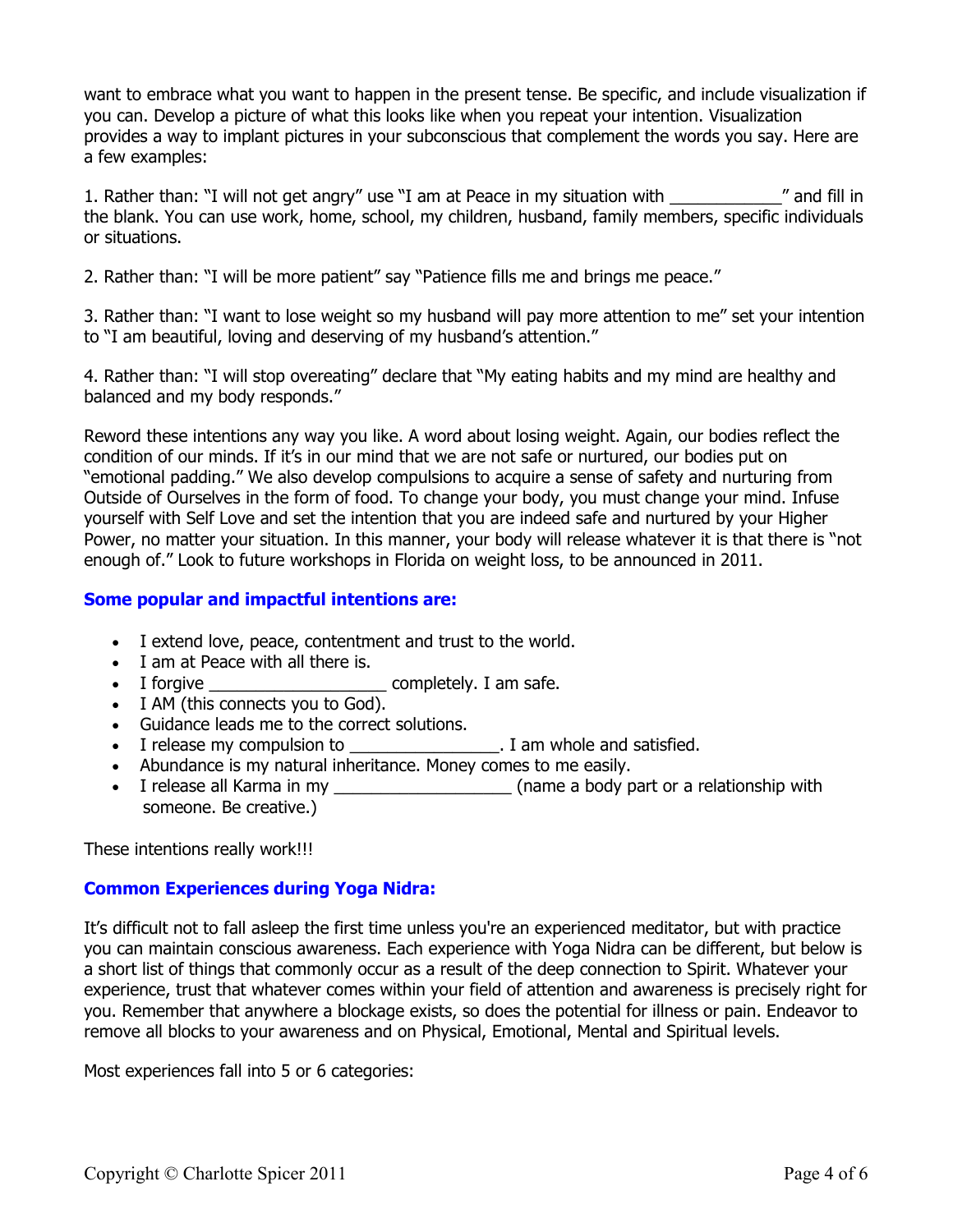want to embrace what you want to happen in the present tense. Be specific, and include visualization if you can. Develop a picture of what this looks like when you repeat your intention. Visualization provides a way to implant pictures in your subconscious that complement the words you say. Here are a few examples:

1. Rather than: "I will not get angry" use "I am at Peace in my situation with \_\_\_\_\_\_\_\_\_\_\_\_" and fill in the blank. You can use work, home, school, my children, husband, family members, specific individuals or situations.

2. Rather than: "I will be more patient" say "Patience fills me and brings me peace."

3. Rather than: "I want to lose weight so my husband will pay more attention to me" set your intention to "I am beautiful, loving and deserving of my husband's attention."

4. Rather than: "I will stop overeating" declare that "My eating habits and my mind are healthy and balanced and my body responds."

Reword these intentions any way you like. A word about losing weight. Again, our bodies reflect the condition of our minds. If it's in our mind that we are not safe or nurtured, our bodies put on "emotional padding." We also develop compulsions to acquire a sense of safety and nurturing from Outside of Ourselves in the form of food. To change your body, you must change your mind. Infuse yourself with Self Love and set the intention that you are indeed safe and nurtured by your Higher Power, no matter your situation. In this manner, your body will release whatever it is that there is "not enough of." Look to future workshops in Florida on weight loss, to be announced in 2011.

## **Some popular and impactful intentions are:**

- I extend love, peace, contentment and trust to the world.
- I am at Peace with all there is.
- I forgive \_\_\_\_\_\_\_\_\_\_\_\_\_\_\_\_\_\_\_ completely. I am safe.
- I AM (this connects you to God).
- Guidance leads me to the correct solutions.
- I release my compulsion to **Example 3** am whole and satisfied.
- Abundance is my natural inheritance. Money comes to me easily.
- I release all Karma in my \_\_\_\_\_\_\_\_\_\_\_\_\_\_\_\_\_\_\_\_\_\_\_\_\_\_\_\_\_\_\_\_\_(name a body part or a relationship with someone. Be creative.)

These intentions really work!!!

# **Common Experiences during Yoga Nidra:**

It's difficult not to fall asleep the first time unless you're an experienced meditator, but with practice you can maintain conscious awareness. Each experience with Yoga Nidra can be different, but below is a short list of things that commonly occur as a result of the deep connection to Spirit. Whatever your experience, trust that whatever comes within your field of attention and awareness is precisely right for you. Remember that anywhere a blockage exists, so does the potential for illness or pain. Endeavor to remove all blocks to your awareness and on Physical, Emotional, Mental and Spiritual levels.

Most experiences fall into 5 or 6 categories: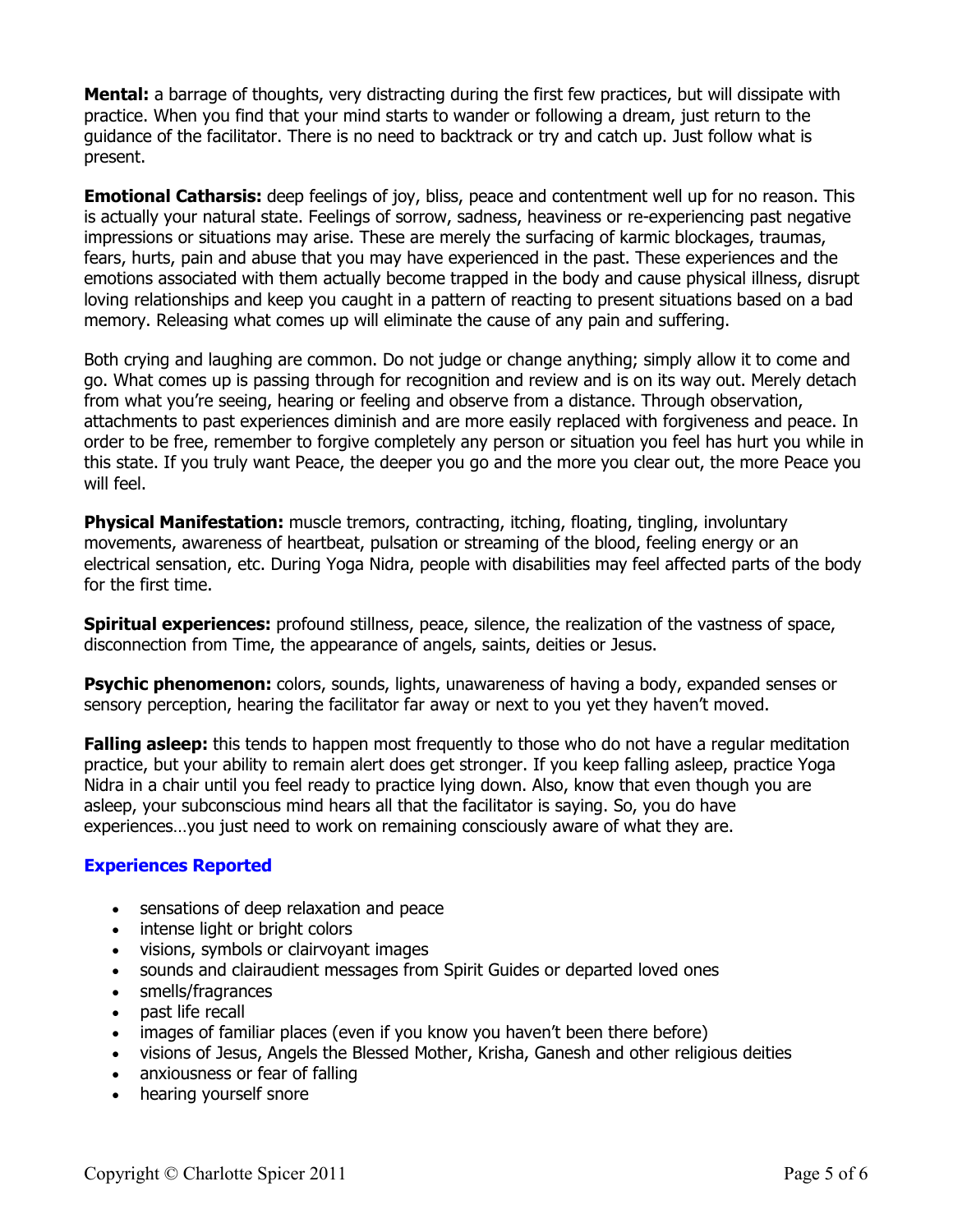**Mental:** a barrage of thoughts, very distracting during the first few practices, but will dissipate with practice. When you find that your mind starts to wander or following a dream, just return to the guidance of the facilitator. There is no need to backtrack or try and catch up. Just follow what is present.

**Emotional Catharsis:** deep feelings of joy, bliss, peace and contentment well up for no reason. This is actually your natural state. Feelings of sorrow, sadness, heaviness or re-experiencing past negative impressions or situations may arise. These are merely the surfacing of karmic blockages, traumas, fears, hurts, pain and abuse that you may have experienced in the past. These experiences and the emotions associated with them actually become trapped in the body and cause physical illness, disrupt loving relationships and keep you caught in a pattern of reacting to present situations based on a bad memory. Releasing what comes up will eliminate the cause of any pain and suffering.

Both crying and laughing are common. Do not judge or change anything; simply allow it to come and go. What comes up is passing through for recognition and review and is on its way out. Merely detach from what you're seeing, hearing or feeling and observe from a distance. Through observation, attachments to past experiences diminish and are more easily replaced with forgiveness and peace. In order to be free, remember to forgive completely any person or situation you feel has hurt you while in this state. If you truly want Peace, the deeper you go and the more you clear out, the more Peace you will feel.

**Physical Manifestation:** muscle tremors, contracting, itching, floating, tingling, involuntary movements, awareness of heartbeat, pulsation or streaming of the blood, feeling energy or an electrical sensation, etc. During Yoga Nidra, people with disabilities may feel affected parts of the body for the first time.

**Spiritual experiences:** profound stillness, peace, silence, the realization of the vastness of space, disconnection from Time, the appearance of angels, saints, deities or Jesus.

**Psychic phenomenon:** colors, sounds, lights, unawareness of having a body, expanded senses or sensory perception, hearing the facilitator far away or next to you yet they haven't moved.

**Falling asleep:** this tends to happen most frequently to those who do not have a regular meditation practice, but your ability to remain alert does get stronger. If you keep falling asleep, practice Yoga Nidra in a chair until you feel ready to practice lying down. Also, know that even though you are asleep, your subconscious mind hears all that the facilitator is saying. So, you do have experiences…you just need to work on remaining consciously aware of what they are.

# **Experiences Reported**

- sensations of deep relaxation and peace
- intense light or bright colors
- visions, symbols or clairvoyant images
- sounds and clairaudient messages from Spirit Guides or departed loved ones
- smells/fragrances
- past life recall
- images of familiar places (even if you know you haven't been there before)
- visions of Jesus, Angels the Blessed Mother, Krisha, Ganesh and other religious deities
- anxiousness or fear of falling
- hearing yourself snore